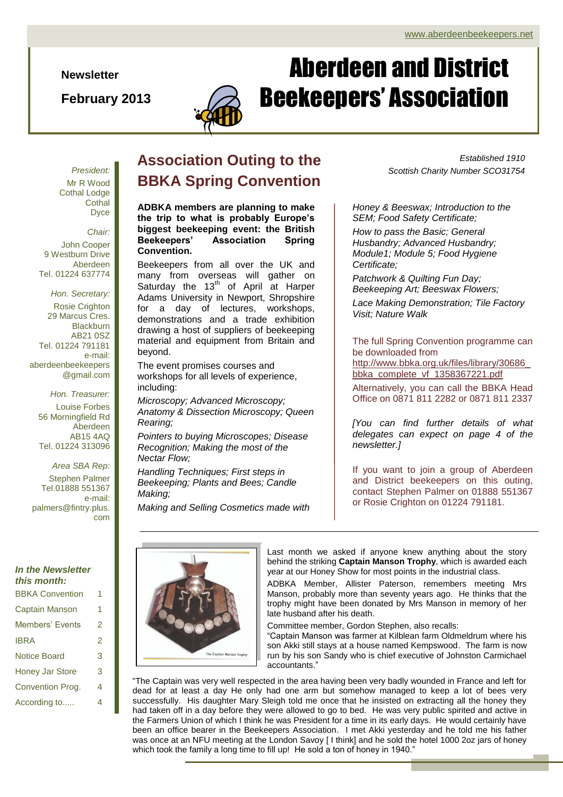**Newsletter**

**February 2013**



# Aberdeen and District Beekeepers' Association

*President:* Mr R Wood Cothal Lodge **Cothal** Dyce

*Chair:* John Cooper 9 Westburn Drive Aberdeen Tel. 01224 637774

*Hon. Secretary:* Rosie Crighton 29 Marcus Cres. **Blackburn** AB21 0SZ Tel. 01224 791181 e-mail: aberdeenbeekeepers @gmail.com

*Hon. Treasurer:* Louise Forbes 56 Morningfield Rd Aberdeen AB15 4AQ Tel. 01224 313096

#### *Area SBA Rep:* Stephen Palmer Tel.01888 551367 e-mail: palmers@fintry.plus. com

#### *In the Newsletter this month:*

BBKA Convention 1

| BBKA Convention        |   |
|------------------------|---|
| Captain Manson         | 1 |
| Members' Events        | 2 |
| IBRA                   | 2 |
| <b>Notice Board</b>    | 3 |
| <b>Honey Jar Store</b> | 3 |
| Convention Prog.       | 4 |
| According to           | 4 |

### **Association Outing to the BBKA Spring Convention**

**ADBKA members are planning to make the trip to what is probably Europe's biggest beekeeping event: the British Beekeepers' Association Spring Convention.**

Beekeepers from all over the UK and many from overseas will gather on Saturday the  $13<sup>th</sup>$  of April at Harper Adams University in Newport, Shropshire for a day of lectures, workshops, demonstrations and a trade exhibition drawing a host of suppliers of beekeeping material and equipment from Britain and beyond.

The event promises courses and workshops for all levels of experience, including:

*Microscopy; Advanced Microscopy; Anatomy & Dissection Microscopy; Queen Rearing;*

*Pointers to buying Microscopes; Disease Recognition; Making the most of the Nectar Flow;*

*Handling Techniques; First steps in Beekeeping; Plants and Bees; Candle Making;*

*Making and Selling Cosmetics made with* 

*Established 1910 Scottish Charity Number SCO31754*

*Honey & Beeswax; Introduction to the SEM; Food Safety Certificate;*

*How to pass the Basic; General Husbandry; Advanced Husbandry; Module1; Module 5; Food Hygiene Certificate;*

*Patchwork & Quilting Fun Day; Beekeeping Art; Beeswax Flowers;*

*Lace Making Demonstration; Tile Factory Visit; Nature Walk*

The full Spring Convention programme can be downloaded from [http://www.bbka.org.uk/files/library/30686\\_](http://www.bbka.org.uk/files/library/30686_bbka_complete_vf_1358367221.pdf) [bbka\\_complete\\_vf\\_1358367221.pdf](http://www.bbka.org.uk/files/library/30686_bbka_complete_vf_1358367221.pdf)

Alternatively, you can call the BBKA Head Office on 0871 811 2282 or 0871 811 2337

*[You can find further details of what delegates can expect on page 4 of the newsletter.]*

If you want to join a group of Aberdeen and District beekeepers on this outing, contact Stephen Palmer on 01888 551367 or Rosie Crighton on 01224 791181.



Last month we asked if anyone knew anything about the story behind the striking **Captain Manson Trophy**, which is awarded each year at our Honey Show for most points in the industrial class.

ADBKA Member, Allister Paterson, remembers meeting Mrs Manson, probably more than seventy years ago. He thinks that the trophy might have been donated by Mrs Manson in memory of her late husband after his death.

Committee member, Gordon Stephen, also recalls:

"Captain Manson was farmer at Kilblean farm Oldmeldrum where his son Akki still stays at a house named Kempswood. The farm is now run by his son Sandy who is chief executive of Johnston Carmichael accountants."

"The Captain was very well respected in the area having been very badly wounded in France and left for dead for at least a day He only had one arm but somehow managed to keep a lot of bees very successfully. His daughter Mary Sleigh told me once that he insisted on extracting all the honey they had taken off in a day before they were allowed to go to bed. He was very public spirited and active in the Farmers Union of which I think he was President for a time in its early days. He would certainly have been an office bearer in the Beekeepers Association. I met Akki yesterday and he told me his father was once at an NFU meeting at the London Savoy [ I think] and he sold the hotel 1000 2oz jars of honey which took the family a long time to fill up! He sold a ton of honey in 1940."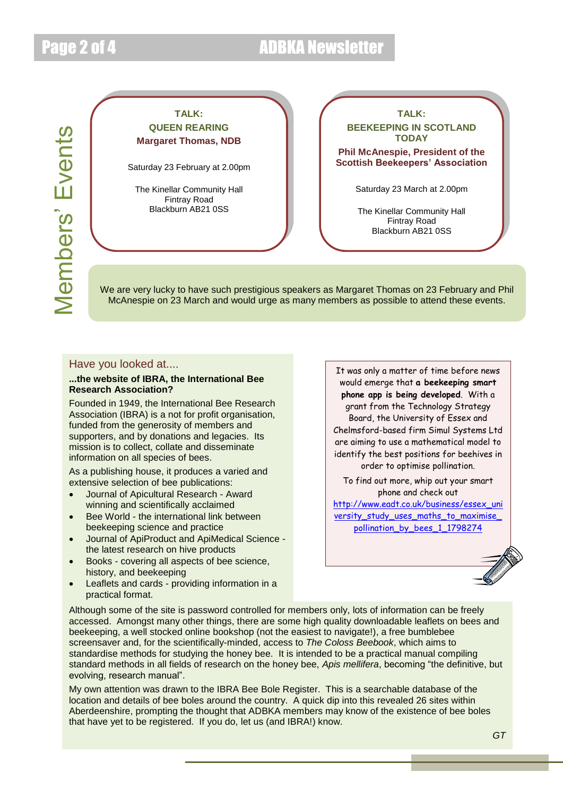## Page 2 of 4 ADBKA Newsletter

Members' Events Members' Events

### **TALK: QUEEN REARING Margaret Thomas, NDB**

Saturday 23 February at 2.00pm

The Kinellar Community Hall Fintray Road Blackburn AB21 0SS

**TALK: BEEKEEPING IN SCOTLAND TODAY**

**Phil McAnespie, President of the Scottish Beekeepers' Association**

Saturday 23 March at 2.00pm

The Kinellar Community Hall Fintray Road Blackburn AB21 0SS

We are very lucky to have such prestigious speakers as Margaret Thomas on 23 February and Phil McAnespie on 23 March and would urge as many members as possible to attend these events.

#### Have you looked at....

#### **...the website of IBRA, the International Bee Research Association?**

Founded in 1949, the International Bee Research Association (IBRA) is a not for profit organisation, funded from the generosity of members and supporters, and by donations and legacies. Its mission is to collect, collate and disseminate information on all species of bees.

As a publishing house, it produces a varied and extensive selection of bee publications:

- Journal of Apicultural Research Award winning and scientifically acclaimed
- Bee World the international link between beekeeping science and practice
- Journal of ApiProduct and ApiMedical Science the latest research on hive products
- Books covering all aspects of bee science, history, and beekeeping
- Leaflets and cards providing information in a practical format.

Board, the University of Essex and It was only a matter of time before news would emerge that **a beekeeping smart phone app is being developed**. With a grant from the Technology Strategy Chelmsford-based firm Simul Systems Ltd are aiming to use a mathematical model to identify the best positions for beehives in order to optimise pollination.

To find out more, whip out your smart phone and check out

[http://www.eadt.co.uk/business/essex\\_uni](http://www.eadt.co.uk/business/essex_university_study_uses_maths_to_maximise_pollination_by_bees_1_1798274) versity\_study\_uses\_maths\_to\_maximise [pollination\\_by\\_bees\\_1\\_1798274](http://www.eadt.co.uk/business/essex_university_study_uses_maths_to_maximise_pollination_by_bees_1_1798274)



Although some of the site is password controlled for members only, lots of information can be freely accessed. Amongst many other things, there are some high quality downloadable leaflets on bees and beekeeping, a well stocked online bookshop (not the easiest to navigate!), a free bumblebee screensaver and, for the scientifically-minded, access to *The Coloss Beebook*, which aims to standardise methods for studying the honey bee. It is intended to be a practical manual compiling standard methods in all fields of research on the honey bee, *Apis mellifera*, becoming "the definitive, but evolving, research manual".

My own attention was drawn to the IBRA Bee Bole Register. This is a searchable database of the location and details of bee boles around the country. A quick dip into this revealed 26 sites within Aberdeenshire, prompting the thought that ADBKA members may know of the existence of bee boles that have yet to be registered. If you do, let us (and IBRA!) know.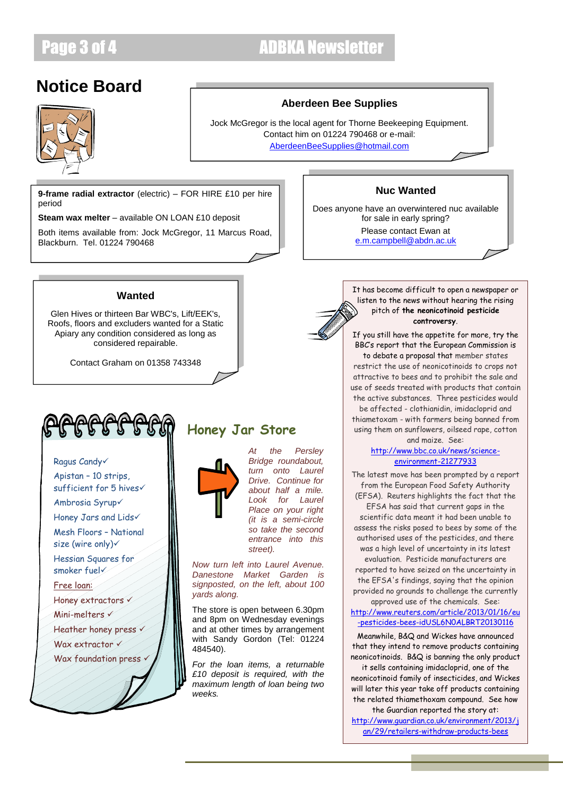### Page 3 of 4 ADBKA Newsletter

### **Notice Board**



#### **Aberdeen Bee Supplies**

Jock McGregor is the local agent for Thorne Beekeeping Equipment. Contact him on 01224 790468 or e-mail: [AberdeenBeeSupplies@hotmail.com](mailto:AberdeenBeeSupplies@hotmail.com)

**9-frame radial extractor** (electric) – FOR HIRE £10 per hire period

**Steam wax melter** – available ON LOAN £10 deposit

Both items available from: Jock McGregor, 11 Marcus Road, Blackburn. Tel. 01224 790468

#### **Wanted**

Glen Hives or thirteen Bar WBC's, Lift/EEK's, Roofs, floors and excluders wanted for a Static Apiary any condition considered as long as considered repairable.

Contact Graham on 01358 743348



#### Ragus Candy

Apistan – 10 strips, sufficient for 5 hives

Ambrosia Syrup

Honey Jars and Lids

Mesh Floors – National size (wire only) $\checkmark$ 

Hessian Squares for smoker fuel

#### Free loan:

Honey extractors v

Mini-melters

Heather honey press v

Wax extractor  $\checkmark$ 

Wax foundation press v

### **Honey Jar Store**



*Bridge roundabout, turn onto Laurel Drive. Continue for about half a mile. Look for Laurel Place on your right (it is a semi-circle so take the second entrance into this street).* 

*At the Persley* 

*Now turn left into Laurel Avenue. Danestone Market Garden is signposted, on the left, about 100 yards along.*

The store is open between 6.30pm and 8pm on Wednesday evenings and at other times by arrangement with Sandy Gordon (Tel: 01224 484540).

*For the loan items, a returnable £10 deposit is required, with the maximum length of loan being two weeks.*

#### **Nuc Wanted**

Does anyone have an overwintered nuc available for sale in early spring? Please contact Ewan at [e.m.campbell@abdn.ac.uk](mailto:e.m.campbell@abdn.ac.uk)



#### It has become difficult to open a newspaper or listen to the news without hearing the rising pitch of **the neonicotinoid pesticide controversy**.

If you still have the appetite for more, try the BBC's report that the European Commission is to debate a proposal that member states restrict the use of neonicotinoids to crops not attractive to bees and to prohibit the sale and use of seeds treated with products that contain the active substances. Three pesticides would

be affected - clothianidin, imidacloprid and thiametoxam - with farmers being banned from using them on sunflowers, oilseed rape, cotton and maize. See:

#### [http://www.bbc.co.uk/news/science](http://www.bbc.co.uk/news/science-environment-21277933)[environment-21277933](http://www.bbc.co.uk/news/science-environment-21277933)

The latest move has been prompted by a report from the European Food Safety Authority (EFSA). Reuters highlights the fact that the EFSA has said that current gaps in the scientific data meant it had been unable to assess the risks posed to bees by some of the authorised uses of the pesticides, and there was a high level of uncertainty in its latest evaluation. Pesticide manufacturers are reported to have seized on the uncertainty in the EFSA's findings, saying that the opinion provided no grounds to challenge the currently

approved use of the chemicals. See: [http://www.reuters.com/article/2013/01/16/eu](http://www.reuters.com/article/2013/01/16/eu-pesticides-bees-idUSL6N0ALBRT20130116) [-pesticides-bees-idUSL6N0ALBRT20130116](http://www.reuters.com/article/2013/01/16/eu-pesticides-bees-idUSL6N0ALBRT20130116)

Meanwhile, B&Q and Wickes have announced that they intend to remove products containing neonicotinoids. B&Q is banning the only product

it sells containing imidacloprid, one of the neonicotinoid family of insecticides, and Wickes will later this year take off products containing the related thiamethoxam compound. See how

the Guardian reported the story at: [http://www.guardian.co.uk/environment/2013/j](http://www.guardian.co.uk/environment/2013/jan/29/retailers-withdraw-products-bees) [an/29/retailers-withdraw-products-bees](http://www.guardian.co.uk/environment/2013/jan/29/retailers-withdraw-products-bees)